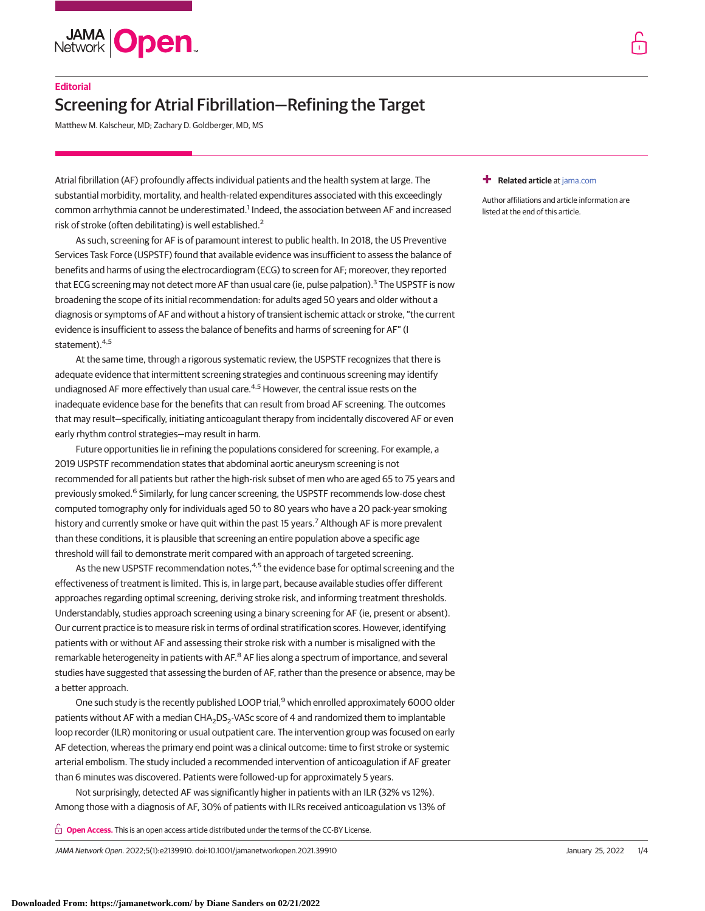

# **Editorial**

# Screening for Atrial Fibrillation—Refining the Target

Matthew M. Kalscheur, MD; Zachary D. Goldberger, MD, MS

Atrial fibrillation (AF) profoundly affects individual patients and the health system at large. The substantial morbidity, mortality, and health-related expenditures associated with this exceedingly common arrhythmia cannot be underestimated.<sup>1</sup> Indeed, the association between AF and increased risk of stroke (often debilitating) is well established.<sup>2</sup>

As such, screening for AF is of paramount interest to public health. In 2018, the US Preventive Services Task Force (USPSTF) found that available evidence was insufficient to assess the balance of benefits and harms of using the electrocardiogram (ECG) to screen for AF; moreover, they reported that ECG screening may not detect more AF than usual care (ie, pulse palpation).<sup>3</sup> The USPSTF is now broadening the scope of its initial recommendation: for adults aged 50 years and older without a diagnosis or symptoms of AF and without a history of transient ischemic attack or stroke, "the current evidence is insufficient to assess the balance of benefits and harms of screening for AF" (I statement).<sup>4,5</sup>

At the same time, through a rigorous systematic review, the USPSTF recognizes that there is adequate evidence that intermittent screening strategies and continuous screening may identify undiagnosed AF more effectively than usual care.<sup>4,5</sup> However, the central issue rests on the inadequate evidence base for the benefits that can result from broad AF screening. The outcomes that may result—specifically, initiating anticoagulant therapy from incidentally discovered AF or even early rhythm control strategies—may result in harm.

Future opportunities lie in refining the populations considered for screening. For example, a 2019 USPSTF recommendation states that abdominal aortic aneurysm screening is not recommended for all patients but rather the high-risk subset of men who are aged 65 to 75 years and previously smoked.<sup>6</sup> Similarly, for lung cancer screening, the USPSTF recommends low-dose chest computed tomography only for individuals aged 50 to 80 years who have a 20 pack-year smoking history and currently smoke or have quit within the past 15 years.<sup>7</sup> Although AF is more prevalent than these conditions, it is plausible that screening an entire population above a specific age threshold will fail to demonstrate merit compared with an approach of targeted screening.

As the new USPSTF recommendation notes, $4.5$  the evidence base for optimal screening and the effectiveness of treatment is limited. This is, in large part, because available studies offer different approaches regarding optimal screening, deriving stroke risk, and informing treatment thresholds. Understandably, studies approach screening using a binary screening for AF (ie, present or absent). Our current practice is to measure risk in terms of ordinal stratification scores. However, identifying patients with or without AF and assessing their stroke risk with a number is misaligned with the remarkable heterogeneity in patients with AF.<sup>8</sup> AF lies along a spectrum of importance, and several studies have suggested that assessing the burden of AF, rather than the presence or absence, may be a better approach.

One such study is the recently published LOOP trial,<sup>9</sup> which enrolled approximately 6000 older patients without AF with a median CHA<sub>2</sub>DS<sub>2</sub>-VASc score of 4 and randomized them to implantable loop recorder (ILR) monitoring or usual outpatient care. The intervention group was focused on early AF detection, whereas the primary end point was a clinical outcome: time to first stroke or systemic arterial embolism. The study included a recommended intervention of anticoagulation if AF greater than 6 minutes was discovered. Patients were followed-up for approximately 5 years.

Not surprisingly, detected AF was significantly higher in patients with an ILR (32% vs 12%). Among those with a diagnosis of AF, 30% of patients with ILRs received anticoagulation vs 13% of

**Open Access.** This is an open access article distributed under the terms of the CC-BY License.

JAMA Network Open. 2022;5(1):e2139910. doi:10.1001/jamanetworkopen.2021.39910 (Reprinted) January 25, 2022 1/4

## **+ Related article** at [jama.com](http://jama.jamanetwork.com/article.aspx?doi=10.1001/jama.2021.23727&utm_campaign=articlePDF%26utm_medium=articlePDFlink%26utm_source=articlePDF%26utm_content=jamanetworkopen.2021.39910)

Author affiliations and article information are listed at the end of this article.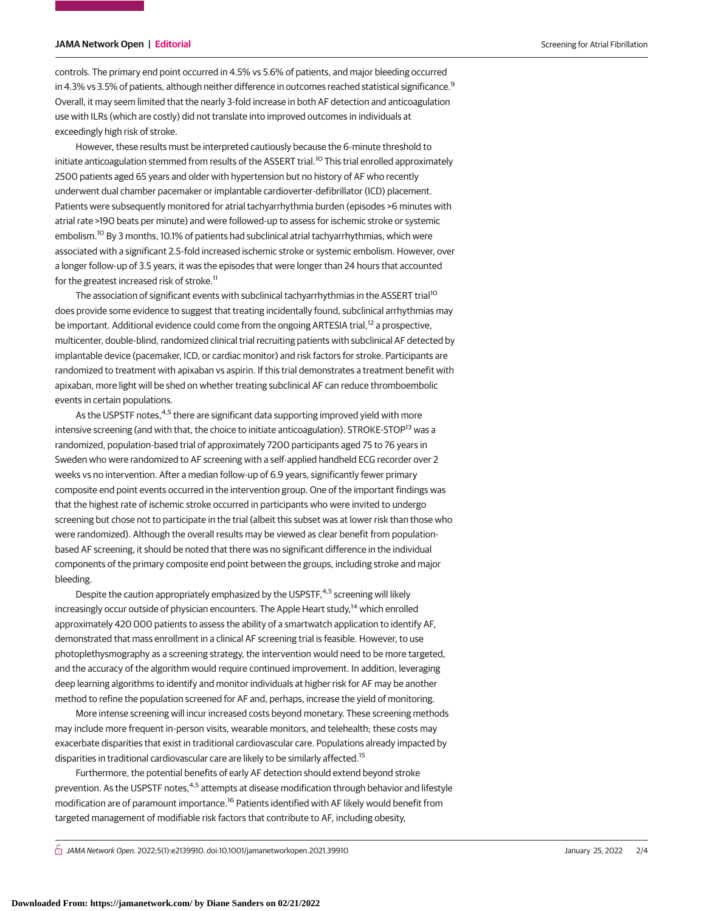# **JAMA Network Open | Editorial** Screening for Atrial Fibrillation Screening for Atrial Fibrillation

controls. The primary end point occurred in 4.5% vs 5.6% of patients, and major bleeding occurred in 4.3% vs 3.5% of patients, although neither difference in outcomes reached statistical significance.<sup>9</sup> Overall, it may seem limited that the nearly 3-fold increase in both AF detection and anticoagulation use with ILRs (which are costly) did not translate into improved outcomes in individuals at exceedingly high risk of stroke.

However, these results must be interpreted cautiously because the 6-minute threshold to initiate anticoagulation stemmed from results of the ASSERT trial.<sup>10</sup> This trial enrolled approximately 2500 patients aged 65 years and older with hypertension but no history of AF who recently underwent dual chamber pacemaker or implantable cardioverter-defibrillator (ICD) placement. Patients were subsequently monitored for atrial tachyarrhythmia burden (episodes >6 minutes with atrial rate >190 beats per minute) and were followed-up to assess for ischemic stroke or systemic embolism.<sup>10</sup> By 3 months, 10.1% of patients had subclinical atrial tachyarrhythmias, which were associated with a significant 2.5-fold increased ischemic stroke or systemic embolism. However, over a longer follow-up of 3.5 years, it was the episodes that were longer than 24 hours that accounted for the greatest increased risk of stroke.<sup>11</sup>

The association of significant events with subclinical tachyarrhythmias in the ASSERT trial<sup>10</sup> does provide some evidence to suggest that treating incidentally found, subclinical arrhythmias may be important. Additional evidence could come from the ongoing ARTESIA trial,<sup>12</sup> a prospective, multicenter, double-blind, randomized clinical trial recruiting patients with subclinical AF detected by implantable device (pacemaker, ICD, or cardiac monitor) and risk factors for stroke. Participants are randomized to treatment with apixaban vs aspirin. If this trial demonstrates a treatment benefit with apixaban, more light will be shed on whether treating subclinical AF can reduce thromboembolic events in certain populations.

As the USPSTF notes,<sup>4,5</sup> there are significant data supporting improved yield with more intensive screening (and with that, the choice to initiate anticoagulation). STROKE-STOP<sup>13</sup> was a randomized, population-based trial of approximately 7200 participants aged 75 to 76 years in Sweden who were randomized to AF screening with a self-applied handheld ECG recorder over 2 weeks vs no intervention. After a median follow-up of 6.9 years, significantly fewer primary composite end point events occurred in the intervention group. One of the important findings was that the highest rate of ischemic stroke occurred in participants who were invited to undergo screening but chose not to participate in the trial (albeit this subset was at lower risk than those who were randomized). Although the overall results may be viewed as clear benefit from populationbased AF screening, it should be noted that there was no significant difference in the individual components of the primary composite end point between the groups, including stroke and major bleeding.

Despite the caution appropriately emphasized by the USPSTF,<sup>4,5</sup> screening will likely increasingly occur outside of physician encounters. The Apple Heart study,<sup>14</sup> which enrolled approximately 420 000 patients to assess the ability of a smartwatch application to identify AF, demonstrated that mass enrollment in a clinical AF screening trial is feasible. However, to use photoplethysmography as a screening strategy, the intervention would need to be more targeted, and the accuracy of the algorithm would require continued improvement. In addition, leveraging deep learning algorithms to identify and monitor individuals at higher risk for AF may be another method to refine the population screened for AF and, perhaps, increase the yield of monitoring.

More intense screening will incur increased costs beyond monetary. These screening methods may include more frequent in-person visits, wearable monitors, and telehealth; these costs may exacerbate disparities that exist in traditional cardiovascular care. Populations already impacted by disparities in traditional cardiovascular care are likely to be similarly affected.<sup>15</sup>

Furthermore, the potential benefits of early AF detection should extend beyond stroke prevention. As the USPSTF notes,<sup>4,5</sup> attempts at disease modification through behavior and lifestyle modification are of paramount importance.<sup>16</sup> Patients identified with AF likely would benefit from targeted management of modifiable risk factors that contribute to AF, including obesity,

 $\bigcap$  JAMA Network Open. 2022;5(1):e2139910. doi:10.1001/jamanetworkopen.2021.39910  $2/4$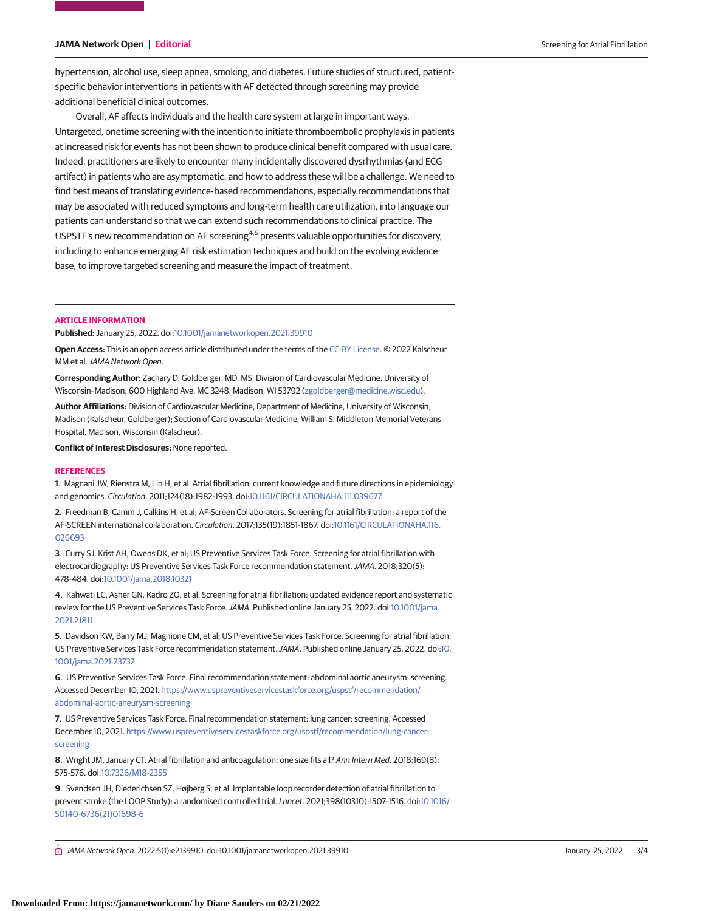## **JAMA Network Open | Editorial** Screening for Atrial Fibrillation Screening for Atrial Fibrillation

hypertension, alcohol use, sleep apnea, smoking, and diabetes. Future studies of structured, patientspecific behavior interventions in patients with AF detected through screening may provide additional beneficial clinical outcomes.

Overall, AF affects individuals and the health care system at large in important ways. Untargeted, onetime screening with the intention to initiate thromboembolic prophylaxis in patients at increased risk for events has not been shown to produce clinical benefit compared with usual care. Indeed, practitioners are likely to encounter many incidentally discovered dysrhythmias (and ECG artifact) in patients who are asymptomatic, and how to address these will be a challenge. We need to find best means of translating evidence-based recommendations, especially recommendations that may be associated with reduced symptoms and long-term health care utilization, into language our patients can understand so that we can extend such recommendations to clinical practice. The USPSTF's new recommendation on AF screening<sup>4,5</sup> presents valuable opportunities for discovery, including to enhance emerging AF risk estimation techniques and build on the evolving evidence base, to improve targeted screening and measure the impact of treatment.

## **ARTICLE INFORMATION**

## **Published:** January 25, 2022. doi[:10.1001/jamanetworkopen.2021.39910](https://jama.jamanetwork.com/article.aspx?doi=10.1001/jamanetworkopen.2021.39910&utm_campaign=articlePDF%26utm_medium=articlePDFlink%26utm_source=articlePDF%26utm_content=jamanetworkopen.2021.39910)

**Open Access:** This is an open access article distributed under the terms of the [CC-BY License.](https://jamanetwork.com/pages/cc-by-license-permissions/?utm_campaign=articlePDF%26utm_medium=articlePDFlink%26utm_source=articlePDF%26utm_content=jamanetworkopen.2021.39910) © 2022 Kalscheur MM et al.JAMA Network Open.

**Corresponding Author:** Zachary D. Goldberger, MD, MS, Division of Cardiovascular Medicine, University of Wisconsin–Madison, 600 Highland Ave, MC 3248, Madison, WI 53792 [\(zgoldberger@medicine.wisc.edu\)](mailto:zgoldberger@medicine.wisc.edu).

**Author Affiliations:** Division of Cardiovascular Medicine, Department of Medicine, University of Wisconsin, Madison (Kalscheur, Goldberger); Section of Cardiovascular Medicine, William S. Middleton Memorial Veterans Hospital, Madison, Wisconsin (Kalscheur).

**Conflict of Interest Disclosures:** None reported.

#### **REFERENCES**

**1**. Magnani JW, Rienstra M, Lin H, et al. Atrial fibrillation: current knowledge and future directions in epidemiology and genomics. Circulation. 2011;124(18):1982-1993. doi[:10.1161/CIRCULATIONAHA.111.039677](https://dx.doi.org/10.1161/CIRCULATIONAHA.111.039677)

**2**. Freedman B, Camm J, Calkins H, et al; AF-Screen Collaborators. Screening for atrial fibrillation: a report of the AF-SCREEN international collaboration. Circulation. 2017;135(19):1851-1867. doi[:10.1161/CIRCULATIONAHA.116.](https://dx.doi.org/10.1161/CIRCULATIONAHA.116.026693) [026693](https://dx.doi.org/10.1161/CIRCULATIONAHA.116.026693)

**3**. Curry SJ, Krist AH, Owens DK, et al; US Preventive Services Task Force. Screening for atrial fibrillation with electrocardiography: US Preventive Services Task Force recommendation statement. JAMA. 2018;320(5): 478-484. doi[:10.1001/jama.2018.10321](https://jama.jamanetwork.com/article.aspx?doi=10.1001/jama.2018.10321&utm_campaign=articlePDF%26utm_medium=articlePDFlink%26utm_source=articlePDF%26utm_content=jamanetworkopen.2021.39910)

**4**. Kahwati LC, Asher GN, Kadro ZO, et al. Screening for atrial fibrillation: updated evidence report and systematic review for the US Preventive Services Task Force.JAMA. Published online January 25, 2022. doi[:10.1001/jama.](https://jama.jamanetwork.com/article.aspx?doi=10.1001/jama.2021.21811&utm_campaign=articlePDF%26utm_medium=articlePDFlink%26utm_source=articlePDF%26utm_content=jamanetworkopen.2021.39910) [2021.21811](https://jama.jamanetwork.com/article.aspx?doi=10.1001/jama.2021.21811&utm_campaign=articlePDF%26utm_medium=articlePDFlink%26utm_source=articlePDF%26utm_content=jamanetworkopen.2021.39910)

**5**. Davidson KW, Barry MJ, Magnione CM, et al; US Preventive Services Task Force. Screening for atrial fibrillation: US Preventive Services Task Force recommendation statement. JAMA. Published online January 25, 2022. doi[:10.](https://jama.jamanetwork.com/article.aspx?doi=10.1001/jama.2021.23732&utm_campaign=articlePDF%26utm_medium=articlePDFlink%26utm_source=articlePDF%26utm_content=jamanetworkopen.2021.39910) [1001/jama.2021.23732](https://jama.jamanetwork.com/article.aspx?doi=10.1001/jama.2021.23732&utm_campaign=articlePDF%26utm_medium=articlePDFlink%26utm_source=articlePDF%26utm_content=jamanetworkopen.2021.39910)

**6**. US Preventive Services Task Force. Final recommendation statement: abdominal aortic aneurysm: screening. Accessed December 10, 2021. [https://www.uspreventiveservicestaskforce.org/uspstf/recommendation/](https://www.uspreventiveservicestaskforce.org/uspstf/recommendation/abdominal-aortic-aneurysm-screening) [abdominal-aortic-aneurysm-screening](https://www.uspreventiveservicestaskforce.org/uspstf/recommendation/abdominal-aortic-aneurysm-screening)

**7**. US Preventive Services Task Force. Final recommendation statement: lung cancer: screening. Accessed December 10, 2021. [https://www.uspreventiveservicestaskforce.org/uspstf/recommendation/lung-cancer](https://www.uspreventiveservicestaskforce.org/uspstf/recommendation/lung-cancer-screening)[screening](https://www.uspreventiveservicestaskforce.org/uspstf/recommendation/lung-cancer-screening)

**8**. Wright JM, January CT. Atrial fibrillation and anticoagulation: one size fits all? Ann Intern Med. 2018;169(8): 575-576. doi[:10.7326/M18-2355](https://dx.doi.org/10.7326/M18-2355)

**9**. Svendsen JH, Diederichsen SZ, Højberg S, et al. Implantable loop recorder detection of atrial fibrillation to prevent stroke (the LOOP Study): a randomised controlled trial. Lancet. 2021;398(10310):1507-1516. doi[:10.1016/](https://dx.doi.org/10.1016/S0140-6736(21)01698-6) [S0140-6736\(21\)01698-6](https://dx.doi.org/10.1016/S0140-6736(21)01698-6)

 $\bigcap$  JAMA Network Open. 2022;5(1):e2139910. doi:10.1001/jamanetworkopen.2021.39910  $\bigcap$  JAMA Network Open.2022.5(1):e2139910. doi:10.1001/jamanetworkopen.2021.39910